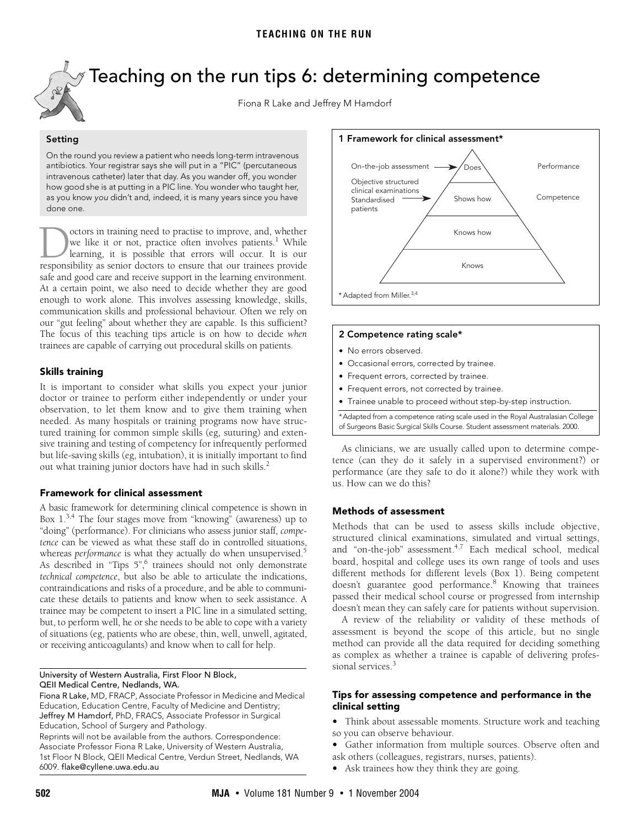<span id="page-0-0"></span>

# $\mathscr I$  Teaching on the run tips 6: determining competence

Fiona R Lake and Jeffrey M Hamdorf

#### **Setting**

On the round you review a patient who needs long-term intravenous antibiotics. Your registrar says she will put in a "PIC" (percutaneous intravenous catheter) later that day. As you wander off, you wonder how good she is at putting in a PIC line. You wonder who taught her, as you know you didn't and, indeed, it is many years since you have done one.

octors in training need to practise to improve, and, whether we like it or not, practice often involves patients.<sup>[1](#page-1-3)</sup> While learning, it is possible that errors will occur. It is our **respective** in training need to practise to improve, and, whether we like it or not, practice often involves patients.<sup>1</sup> While learning, it is possible that errors will occur. It is our responsibility as senior doctors t safe and good care and receive support in the learning environment. At a certain point, we also need to decide whether they are good enough to work alone. This involves assessing knowledge, skills, communication skills and professional behaviour. Often we rely on our "gut feeling" about whether they are capable. Is this sufficient? The focus of this teaching tips article is on how to decide *when* trainees are capable of carrying out procedural skills on patients.

#### **Skills training**

observation, to let them know and to give them training when needed. As many hospitals or tr[ainin](#page-0-0)[g pr](#page-1-2)ograms now have structured training for common simple skills (eg, suturing) and extensive training and testing of competency for infrequently performed but life-saving skills (eg, intubation), it is initially important to find It is important to consider what skills you expect your junior doctor or trainee to perform either independently or under your out what training junior doctors have had in such skills.<sup>2</sup>

## **Framework for clinical assessment**

A basic framework for determining clinical competence is shown in Box  $1^{3,4}$  The four stages move from "knowing" (awareness) up to "doing" (performance). For clinicians who assess junior staff, *competence* can be viewed as what these staff do in controlled situations, whereas *performance* is what they actually do when unsupervised.<sup>5</sup> As described in "Tips 5",<sup>6</sup> trainees should not only demonstrate *technical competence*, but also be able to articulate the indications, contraindications and risks of a procedure, and be able to communicate these details to patients and know when to seek assistance. A trainee may be competent to insert a PIC line in a simulated setting, but, to perform well, he or she needs to be able to cope with a variety of situations (eg, patients who are obese, thin, well, unwell, agitated, or receiving anticoagulants) and know when to call for help.

#### University of Western Australia, First Floor N Block, QEII Medical Centre, Nedlands, WA.

Fiona R Lake, MD, FRACP, Associate Professor in Medicine and Medical Education, Education Centre, Faculty of Medicine and Dentistry; Jeffrey M Hamdorf, PhD, FRACS, Associate Professor in Surgical Education, School of Surgery and Pathology.

Reprints will not be available from the authors. Correspondence: Associate Professor Fiona R Lake, University of Western Australia, 1st Floor N Block, QEII Medical Centre, Verdun Street, Nedlands, WA 6009. flake@cyllene.uwa.edu.au

<span id="page-0-1"></span>

#### <span id="page-0-2"></span>**2 Competence rating scale\***

- **•** No errors observed.
- **•** Occasional errors, corrected by trainee.
- **•** Frequent errors, corrected by trainee.
- **•** Frequent errors, not corrected by trainee.
- **•** Trainee unable to proceed without step-by-step instruction.
- \*Adapted from a competence rating scale used in the Royal Australasian College of Surgeons Basic Surgical Skills Course. Student assessment materials. 2000.

As clinicians, we are usually called upon to determine competence (can they do it safely in a supervised environment?) or performance (are they safe to do it alone?) while they work with us. How can we do this?

#### **Methods of assessment**

Methods that can be used to assess skills include objective, structured clinical examinations, simulated and virtual settings, and "on-the-job" assessment. $4,7$  $4,7$  $4,7$  Each medical school, medical board, hospital and college uses its own range of tools and uses different methods for different levels ([Box 1](#page-0-1)). Being competent doesn't guarantee good performance.<sup>8</sup> Knowing that trainees passed their medical school course or progressed from internship doesn't mean they can safely care for patients without supervision.

A review of the reliability or validity of these methods of assessment is beyond the scope of this article, but no single method can provide all the data required for deciding something as complex as whether a trainee is capable of delivering professional services.<sup>3</sup>

#### **Tips for assessing competence and performance in the clinical setting**

- **•** Think about assessable moments. Structure work and teaching so you can observe behaviour.
- **•** Gather information from multiple sources. Observe often and ask others (colleagues, registrars, nurses, patients).
- **•** Ask trainees how they think they are going.